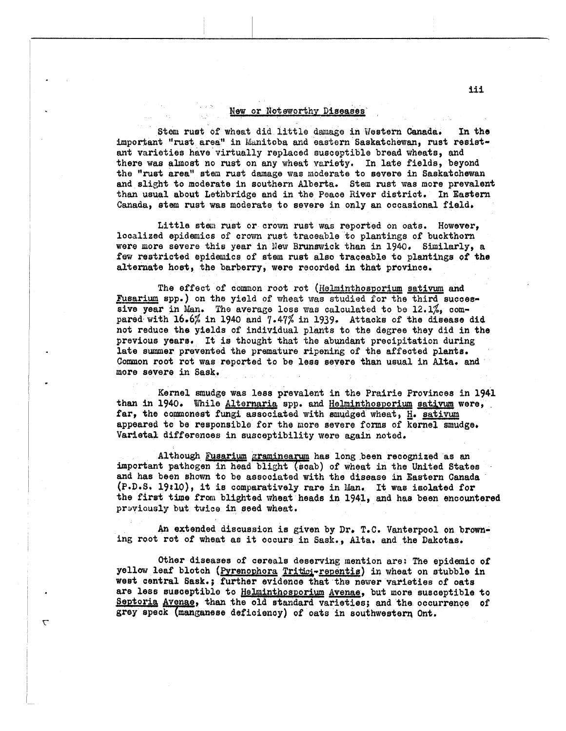## **New or Noteworthy Diseases**

Stem rust **of** wheat did little **darnage** in Western Canada. **In** tho important ''rust area" in Manitoba and eastern Saskatchewan, **rust** resistant varieties have virtually replaced susceptible bread wheats, and there was almost no rust on any wheat variety. In late fields, beyond **the** "rust area" stem rust damage was moderate to **severe** in Saskatchewan and slight to moderate in southern Alberta. Stem rust **was** more prevalent than usual about Lethbridge and in the Peace River district. In Eastern Canada, stem rust was moderate to severe in only an occasional field,

Little stem rust **or** crown rust **was** reported on oats. However, localized epidemics of crown rust traceable *to* plantings of buckthorn were more severe this year in New Brunswick than in 1940. Similarly, a few restricted epidemics of stem rust also traceable to plantings of the alternate host, the barberry, were recorded in that province.

**1-** Fusarium **sgp.)** on the yield of wheat was studied for the third successive year in Man. The average loss was calculated to be 12.1%, compared with **16.6;6** in 1940 and **7.47%** in **1939.**  Attacks of the disease did not reduce the yields of individual plants to the degree they did in the previous yeara, It is thought that the abundant preoipitation during late summer prevented the premature ripening of the affected plants. Common root rot was reported to be less severe than usual in Alta. and **more** severe in Sask. The effect of common root rot (Helminthosporium sativum and

Kernel smudge was less prevalent in the Prairie Provinces in 1941 than in 1940. While Alternaria spp. and Helminthosporium sativum were, far, the commonest fungi associated with smudged wheat, H. sativum appeared **t0** be responsible for the Wore **severe** forms of kernel smudge, Varietal differences in susceptibility were again noted.

I'M MARINE

 $\mathbf{\tau}$ 

Although Fusarium graminearum has long been recognized as an important pathogen in head blight (scab) of wheat in the United States and **has** been **shown** to be assooiated with the disease in Eastern Canada **(P.D.SI l98lO),** if **is** comparatively rare in Idan, It **wa8** iaolated for the first time from blighted wheat heads in 1941, and has been encountered prwious2y but **twfca** in geed wheat.

**An** extended discussion is given **by Drr** T.C. Vanterpool on browning root rot of wheat as it occurs in Sask., Alta. and the Dakotas.

Other diseases of cereals deserving mention are.' **The** epidemic of yellow leaf blotch (Pyrenophora Tritici-repentis) in wheat on stubble in west central **Sask.;** further evidenoe that the newer varieties of oats are **less** suaoegtiblo to Hehinthosporium Avenae, but more susceptible to Septoria Avenae, than the old standard varieties; and the occurrence of grey speck (manganese deficiency) of oats in southwestern Ont.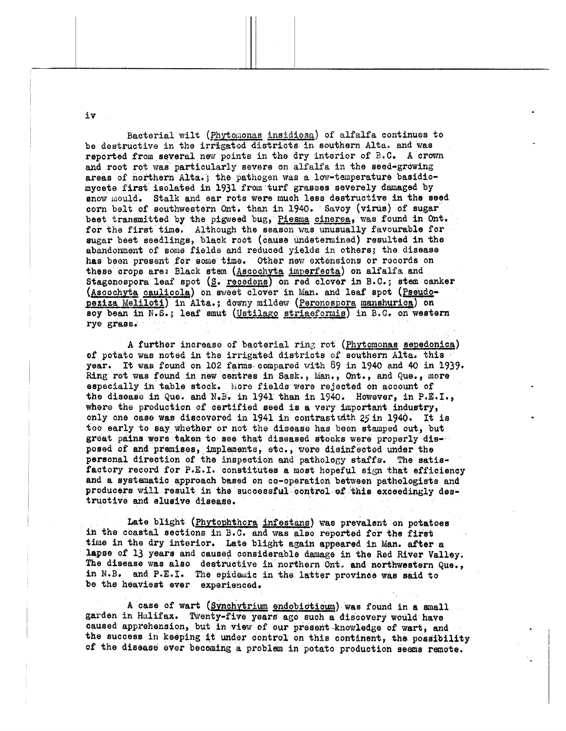Bacterial wilt (Phytomonas insidiosa) of alfalfa continues to be destructive in the irrigated districts in southern Alta. and was reported from several new points in the dry interior of B.C. A crown and root rot was particularly severe on alfalfa in the seed-growing areas of northern Alta.; the pathogen was a low-temperature basidiomycete first isolated in 1931 from turf grasses severely damaged by snow mould. Stalk and ear rots were much less destructive in the seed corn belt of southwestern Ont. than in 1940. Savoy (virus) of sugar beet transmitted by the pigweed bug, Piesma cinerea, was found in Ont. for the first time. Although the season was unusually favourable for sugar beet seedlings, black root (cause undetermined) resulted in the abandonment of some fields and reduced yields in others; the disease has been present for some time. Other new extensions or records on these crops are: Black stem (Ascochyta imperfecta) on alfalfa and Stagonospora leaf spot (S. recedens) on red clover in B.C.; stem canker (Ascochyta caulicola) on sweet clover in Man. and leaf spot (Pseudopeziza Meliloti) in Alta.; downy mildew (Peronospora manshurica) on soy bean in N.S.; leaf smut (Ustilago striaeformis) in B.C. on western rye grass.

A further increase of bacterial ring rot (Phytomonas sepedonica) of potato was noted in the irrigated districts of southern Alta. this year. It was found on 102 farms compared with 89 in 1940 and 40 in 1939. Ring rot was found in new centres in Sask., Man., Ont., and Que., more especially in table stock. More fields were rejected on account of the disease in Que. and N.B. in 1941 than in 1940. However, in P.E.I., where the production of certified seed is a very important industry, only one case was discovered in 1941 in contrast with 25 in 1940. It is too early to say whether or not the disease has been stamped out, but great pains were taken to see that diseased stocks were properly disposed of and premises, implements, etc., were disinfected under the personal direction of the inspection and pathology staffs. The satisfactory record for P.E.I. constitutes a most hopeful sign that efficiency and a systematic approach based on co-operation between pathologists and producers will result in the successful control of this exceedingly destructive and elusive disease.

Late blight (Phytophthora infestans) was prevalent on potatoes in the coastal sections in B.C. and was also reported for the first time in the dry interior. Late blight again appeared in Man. after a lapse of 13 years and caused considerable damage in the Red River Valley. The disease was also destructive in northern Ont. and northwestern Que., in N.B. and P.E.I. The epidemic in the latter province was said to be the heaviest ever experienced.

A case of wart (Synchytrium endobioticum) was found in a small garden in Halifax. Twenty-five years ago such a discovery would have caused apprehension, but in view of our present knowledge of wart, and the success in keeping it under control on this continent, the possibility of the disease ever becoming a problem in potato production seems remote.

iν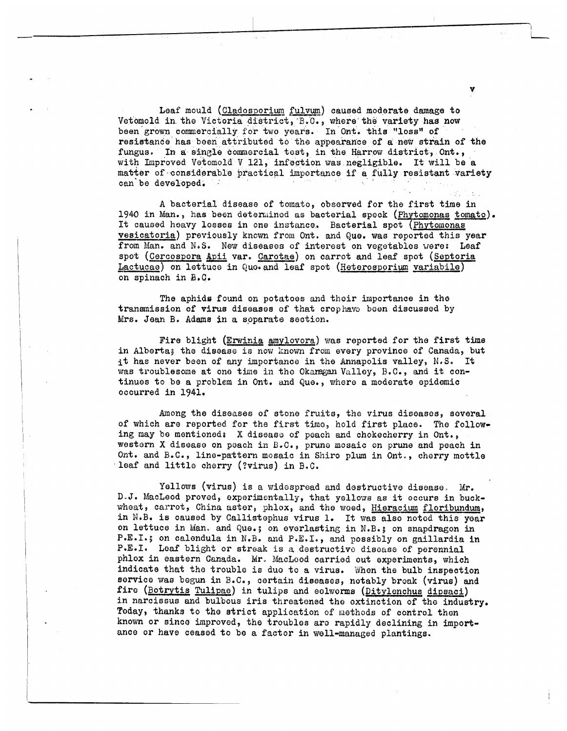Leaf mould (Cladosporium fulvum) caused moderate damage to Vetomold in the Victoria district, B.C., where the variety has now been grown commercially for two years. In Ont. this "loss" of resistance has been attributed to the appearance of a new strain of the fungus. In a single commercial test, in the Harrow district, Ont., with Improved Vetomold V 121, infection was negligible. It will be a matter of considerable practical importance if a fully resistant variety can be developed.

A bacterial disease of tomato, observed for the first time in 1940 in Man., has been determined as bacterial speck (Phytomonas tomato). It caused heavy losses in one instance. Bacterial spot (Phytomonas vesicatoria) previously known from Ont. and Que. was reported this year from Man. and N.S. New diseases of interest on vegetables were: Leaf spot (Cercospora Apii var. Carotae) on carrot and leaf spot (Septoria Lactucae) on lettuce in Quo. and leaf spot (Heterosporium variabile) on spinach in B.C.

The aphids found on potatoes and their importance in the transmission of virus diseases of that crophave been discussed by Mrs. Jean B. Adams in a soparate section.

Fire blight (Erwinia amylovora) was reported for the first time in Alberta; the disease is now known from every province of Canada, but it has never been of any importance in the Annapolis valley, N.S. It was troublesome at one time in the Okanagan Valley, B.C., and it continues to be a problem in Ont. and Que., where a moderate epidemic occurred in 1941.

Among the diseases of stone fruits, the virus diseases, several of which are reported for the first timo, hold first place. The following may be mentioned: X disease of peach and chokecherry in Ont., western X disease on peach in B.C., prune mosaic on prune and peach in Ont. and B.C., line-pattern mosaic in Shiro plum in Ont., cherry mottle leaf and little cherry (?virus) in B.C.

Yellows (virus) is a widespread and destructive disease. Mr. D.J. MacLeod proved, experimentally, that yellows as it occurs in buckwheat, carrot, China aster, phlox, and the weed, Hieracium floribundum, in N.B. is caused by Callistophus virus 1. It was also noted this year on lettuce in Man. and Que.; on everlasting in N.B.; on snapdragon in P.E.I.; on calendula in N.B. and P.E.I., and possibly on gaillardia in P.E.I. Leaf blight or streak is a destructive disease of perennial phlox in eastern Canada. Mr. MacLood carried out experiments, which indicate that the trouble is due to a virus. When the bulb inspection service was begun in B.C., certain diseases, notably break (virus) and fire (Botrytis Tulipae) in tulips and eelworms (Ditylenchus dipsaci) in narcissus and bulbous iris threatened the extinction of the industry. Today, thanks to the strict application of methods of control then known or since improved, the troubles are rapidly declining in importance or have ceased to be a factor in well-managed plantings.